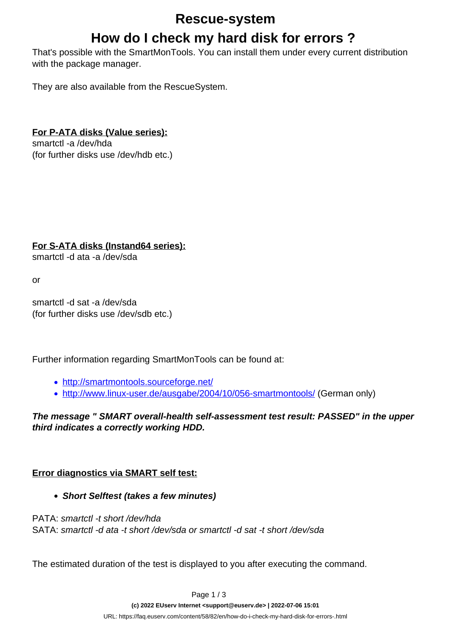### **Rescue-system**

# **How do I check my hard disk for errors ?**

That's possible with the SmartMonTools. You can install them under every current distribution with the package manager.

They are also available from the RescueSystem.

### **For P-ATA disks (Value series):**

smartctl -a /dev/hda (for further disks use /dev/hdb etc.)

#### **For S-ATA disks (Instand64 series):**

smartctl -d ata -a /dev/sda

or

smartctl -d sat -a /dev/sda (for further disks use /dev/sdb etc.)

Further information regarding SmartMonTools can be found at:

- <http://smartmontools.sourceforge.net/>
- <http://www.linux-user.de/ausgabe/2004/10/056-smartmontools/> (German only)

**The message " SMART overall-health self-assessment test result: PASSED" in the upper third indicates a correctly working HDD.**

### **Error diagnostics via SMART self test:**

**Short Selftest (takes a few minutes)**

PATA: smartctl -t short /dev/hda SATA: smartctl -d ata -t short /dev/sda or smartctl -d sat -t short /dev/sda

The estimated duration of the test is displayed to you after executing the command.

Page 1 / 3

**(c) 2022 EUserv Internet <support@euserv.de> | 2022-07-06 15:01**

[URL: https://faq.euserv.com/content/58/82/en/how-do-i-check-my-hard-disk-for-errors-.html](https://faq.euserv.com/content/58/82/en/how-do-i-check-my-hard-disk-for-errors-.html)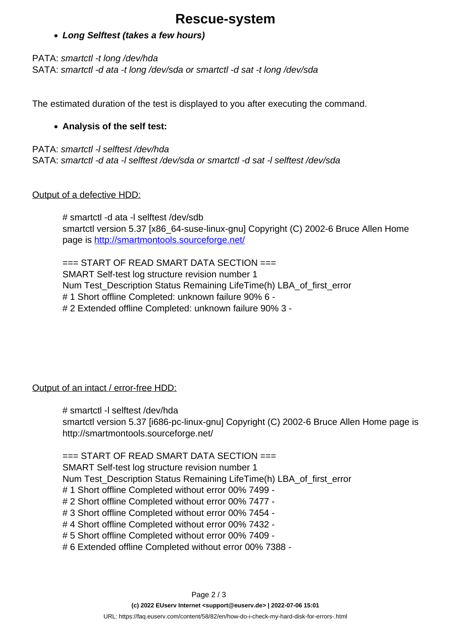# **Rescue-system**

#### **Long Selftest (takes a few hours)**

PATA: smartctl -t long /dev/hda SATA: smartctl -d ata -t long /dev/sda or smartctl -d sat -t long /dev/sda

The estimated duration of the test is displayed to you after executing the command.

#### **Analysis of the self test:**

PATA: smartctl -l selftest /dev/hda SATA: smartctl -d ata -l selftest /dev/sda or smartctl -d sat -l selftest /dev/sda

#### Output of a defective HDD:

# smartctl -d ata -l selftest /dev/sdb smartctl version 5.37 [x86\_64-suse-linux-gnu] Copyright (C) 2002-6 Bruce Allen Home page is <http://smartmontools.sourceforge.net/>

 $==$  START OF READ SMART DATA SECTION  $==$ SMART Self-test log structure revision number 1 Num Test\_Description Status Remaining LifeTime(h) LBA\_of\_first\_error # 1 Short offline Completed: unknown failure 90% 6 - # 2 Extended offline Completed: unknown failure 90% 3 -

#### Output of an intact / error-free HDD:

# smartctl -l selftest /dev/hda

smartctl version 5.37 [i686-pc-linux-gnu] Copyright (C) 2002-6 Bruce Allen Home page is http://smartmontools.sourceforge.net/

#### $==$  START OF READ SMART DATA SECTION  $==$

SMART Self-test log structure revision number 1

Num Test\_Description Status Remaining LifeTime(h) LBA\_of\_first\_error

- # 1 Short offline Completed without error 00% 7499 -
- # 2 Short offline Completed without error 00% 7477 -
- # 3 Short offline Completed without error 00% 7454 -
- # 4 Short offline Completed without error 00% 7432 -
- # 5 Short offline Completed without error 00% 7409 -
- # 6 Extended offline Completed without error 00% 7388 -